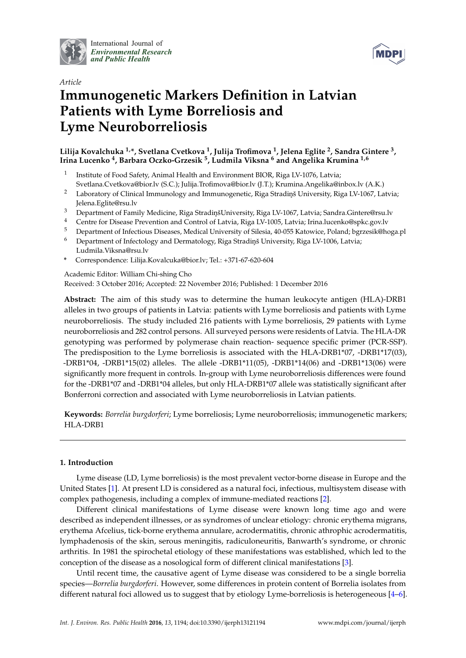

International Journal of *[Environmental Research](http://www.mdpi.com/journal/ijerph) and Public Health*



# *Article* **Immunogenetic Markers Definition in Latvian Patients with Lyme Borreliosis and Lyme Neuroborreliosis**

# **Lilija Kovalchuka 1,\*, Svetlana Cvetkova <sup>1</sup> , Julija Trofimova <sup>1</sup> , Jelena Eglite <sup>2</sup> , Sandra Gintere <sup>3</sup> , Irina Lucenko <sup>4</sup> , Barbara Oczko-Grzesik <sup>5</sup> , Ludmila Viksna <sup>6</sup> and Angelika Krumina 1,6**

- 1 Institute of Food Safety, Animal Health and Environment BIOR, Riga LV-1076, Latvia; Svetlana.Cvetkova@bior.lv (S.C.); Julija.Trofimova@bior.lv (J.T.); Krumina.Angelika@inbox.lv (A.K.)
- <sup>2</sup> Laboratory of Clinical Immunology and Immunogenetic, Riga Stradinš University, Riga LV-1067, Latvia; Jelena.Eglite@rsu.lv
- 3 Department of Family Medicine, Riga Stradinṣ̃University, Riga LV-1067, Latvia; Sandra.Gintere@rsu.lv<br>4 Centre Co Dissess Pressention on J Centrel of Latvia, Bios LV 1005, Latvia; Irina lucanlo@ralce.gov.lv
- <sup>4</sup> Centre for Disease Prevention and Control of Latvia, Riga LV-1005, Latvia; Irina.lucenko@spkc.gov.lv
- <sup>5</sup> Department of Infectious Diseases, Medical University of Silesia, 40-055 Katowice, Poland; bgrzesik@hoga.pl
- Department of Infectology and Dermatology, Riga Stradinš University, Riga LV-1006, Latvia; Ludmila.Viksna@rsu.lv
- **\*** Correspondence: Lilija.Kovalcuka@bior.lv; Tel.: +371-67-620-604

Academic Editor: William Chi-shing Cho

Received: 3 October 2016; Accepted: 22 November 2016; Published: 1 December 2016

**Abstract:** The aim of this study was to determine the human leukocyte antigen (HLA)-DRB1 alleles in two groups of patients in Latvia: patients with Lyme borreliosis and patients with Lyme neuroborreliosis. The study included 216 patients with Lyme borreliosis, 29 patients with Lyme neuroborreliosis and 282 control persons. All surveyed persons were residents of Latvia. The HLA-DR genotyping was performed by polymerase chain reaction- sequence specific primer (PCR-SSP). The predisposition to the Lyme borreliosis is associated with the HLA-DRB1\*07, -DRB1\*17(03), -DRB1\*04, -DRB1\*15(02) alleles. The allele -DRB1\*11(05), -DRB1\*14(06) and -DRB1\*13(06) were significantly more frequent in controls. In-group with Lyme neuroborreliosis differences were found for the -DRB1\*07 and -DRB1\*04 alleles, but only HLA-DRB1\*07 allele was statistically significant after Bonferroni correction and associated with Lyme neuroborreliosis in Latvian patients.

**Keywords:** *Borrelia burgdorferi*; Lyme borreliosis; Lyme neuroborreliosis; immunogenetic markers; HLA-DRB1

# **1. Introduction**

Lyme disease (LD, Lyme borreliosis) is the most prevalent vector-borne disease in Europe and the United States [\[1\]](#page-7-0). At present LD is considered as a natural foci, infectious, multisystem disease with complex pathogenesis, including a complex of immune-mediated reactions [\[2\]](#page-7-1).

Different clinical manifestations of Lyme disease were known long time ago and were described as independent illnesses, or as syndromes of unclear etiology: chronic erythema migrans, erythema Afcelius, tick-borne erythema annulare, acrodermatitis, chronic athrophic acrodermatitis, lymphadenosis of the skin, serous meningitis, radiculoneuritis, Banwarth's syndrome, or chronic arthritis. In 1981 the spirochetal etiology of these manifestations was established, which led to the conception of the disease as a nosological form of different clinical manifestations [\[3\]](#page-7-2).

Until recent time, the causative agent of Lyme disease was considered to be a single borrelia species—*Borrelia burgdorferi*. However, some differences in protein content of Borrelia isolates from different natural foci allowed us to suggest that by etiology Lyme-borreliosis is heterogeneous [\[4–](#page-7-3)[6\]](#page-7-4).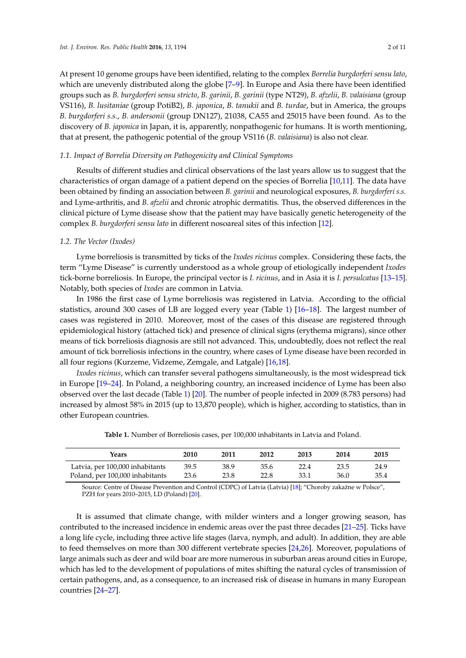At present 10 genome groups have been identified, relating to the complex *Borrelia burgdorferi sensu lato*, which are unevenly distributed along the globe [\[7](#page-7-5)[–9\]](#page-8-0). In Europe and Asia there have been identified groups such as *B. burgdorferi sensu stricto*, *B. garinii*, *B. garinii* (type NT29), *B. afzelii*, *B. valaisiana* (group VS116), *B. lusitaniae* (group PotiB2), *B. japonica*, *B. tanukii* and *B. turdae*, but in America, the groups *B. burgdorferi s.s.*, *B. andersonii* (group DN127), 21038, CA55 and 25015 have been found. As to the discovery of *B. japonica* in Japan, it is, apparently, nonpathogenic for humans. It is worth mentioning, that at present, the pathogenic potential of the group VS116 (*B. valaisiana*) is also not clear.

#### *1.1. Impact of Borrelia Diversity on Pathogenicity and Clinical Symptoms*

Results of different studies and clinical observations of the last years allow us to suggest that the characteristics of organ damage of a patient depend on the species of Borrelia [\[10,](#page-8-1)[11\]](#page-8-2). The data have been obtained by finding an association between *B. garinii* and neurological exposures, *B. burgdorferi s.s.* and Lyme-arthritis, and *B. afzelii* and chronic atrophic dermatitis. Thus, the observed differences in the clinical picture of Lyme disease show that the patient may have basically genetic heterogeneity of the complex *B. burgdorferi sensu lato* in different nosoareal sites of this infection [\[12\]](#page-8-3).

#### *1.2. The Vector (Ixodes)*

Lyme borreliosis is transmitted by ticks of the *Ixodes ricinus* complex. Considering these facts, the term "Lyme Disease" is currently understood as a whole group of etiologically independent *Ixodes* tick-borne borreliosis. In Europe, the principal vector is *I. ricinus*, and in Asia it is *I. persulcatus* [\[13–](#page-8-4)[15\]](#page-8-5). Notably, both species of *Ixodes* are common in Latvia.

In 1986 the first case of Lyme borreliosis was registered in Latvia. According to the official statistics, around 300 cases of LB are logged every year (Table [1\)](#page-1-0) [\[16](#page-8-6)[–18\]](#page-8-7). The largest number of cases was registered in 2010. Moreover, most of the cases of this disease are registered through epidemiological history (attached tick) and presence of clinical signs (erythema migrans), since other means of tick borreliosis diagnosis are still not advanced. This, undoubtedly, does not reflect the real amount of tick borreliosis infections in the country, where cases of Lyme disease have been recorded in all four regions (Kurzeme, Vidzeme, Zemgale, and Latgale) [\[16](#page-8-6)[,18\]](#page-8-7).

*Ixodes ricinus*, which can transfer several pathogens simultaneously, is the most widespread tick in Europe [\[19–](#page-8-8)[24\]](#page-8-9). In Poland, a neighboring country, an increased incidence of Lyme has been also observed over the last decade (Table [1\)](#page-1-0) [\[20\]](#page-8-10). The number of people infected in 2009 (8.783 persons) had increased by almost 58% in 2015 (up to 13,870 people), which is higher, according to statistics, than in other European countries.

<span id="page-1-0"></span>

| Years                           | 2010 | 2011 | 2012 | 2013 | 2014 | 2015 |
|---------------------------------|------|------|------|------|------|------|
| Latvia, per 100,000 inhabitants | 39.5 | 38.9 | 35.6 | 22.4 | 23.5 | 24.9 |
| Poland, per 100,000 inhabitants | 23.6 | 23.8 | 22.8 | 33.1 | 36.0 | 35.4 |

**Table 1.** Number of Borreliosis cases, per 100,000 inhabitants in Latvia and Poland.

Source: Centre of Disease Prevention and Control (CDPC) of Latvia (Latvia) [\[18\]](#page-8-7); "Choroby zakaźne w Polsce", PZH for years 2010–2015, LD (Poland) [\[20\]](#page-8-10).

It is assumed that climate change, with milder winters and a longer growing season, has contributed to the increased incidence in endemic areas over the past three decades [\[21–](#page-8-11)[25\]](#page-8-12). Ticks have a long life cycle, including three active life stages (larva, nymph, and adult). In addition, they are able to feed themselves on more than 300 different vertebrate species [\[24,](#page-8-9)[26\]](#page-8-13). Moreover, populations of large animals such as deer and wild boar are more numerous in suburban areas around cities in Europe, which has led to the development of populations of mites shifting the natural cycles of transmission of certain pathogens, and, as a consequence, to an increased risk of disease in humans in many European countries [\[24](#page-8-9)[–27\]](#page-8-14).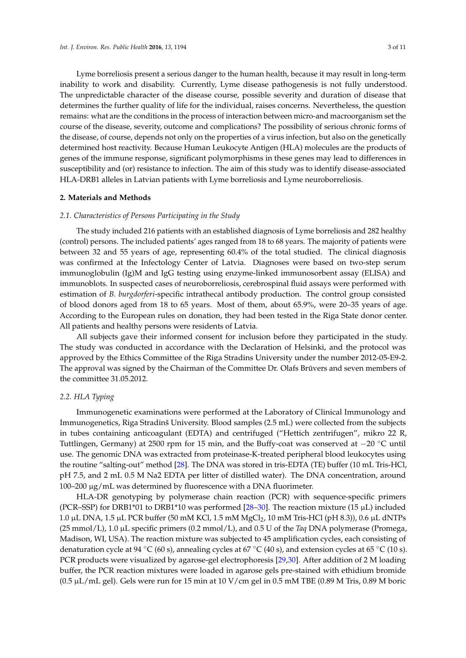Lyme borreliosis present a serious danger to the human health, because it may result in long-term inability to work and disability. Currently, Lyme disease pathogenesis is not fully understood. The unpredictable character of the disease course, possible severity and duration of disease that determines the further quality of life for the individual, raises concerns. Nevertheless, the question remains: what are the conditions in the process of interaction between micro-and macroorganism set the course of the disease, severity, outcome and complications? The possibility of serious chronic forms of the disease, of course, depends not only on the properties of a virus infection, but also on the genetically determined host reactivity. Because Human Leukocyte Antigen (HLA) molecules are the products of genes of the immune response, significant polymorphisms in these genes may lead to differences in susceptibility and (or) resistance to infection. The aim of this study was to identify disease-associated HLA-DRB1 alleles in Latvian patients with Lyme borreliosis and Lyme neuroborreliosis.

#### **2. Materials and Methods**

#### *2.1. Characteristics of Persons Participating in the Study*

The study included 216 patients with an established diagnosis of Lyme borreliosis and 282 healthy (control) persons. The included patients' ages ranged from 18 to 68 years. The majority of patients were between 32 and 55 years of age, representing 60.4% of the total studied. The clinical diagnosis was confirmed at the Infectology Center of Latvia. Diagnoses were based on two-step serum immunoglobulin (Ig)M and IgG testing using enzyme-linked immunosorbent assay (ELISA) and immunoblots. In suspected cases of neuroborreliosis, cerebrospinal fluid assays were performed with estimation of *B. burgdorferi*-specific intrathecal antibody production. The control group consisted of blood donors aged from 18 to 65 years. Most of them, about 65.9%, were 20–35 years of age. According to the European rules on donation, they had been tested in the Riga State donor center. All patients and healthy persons were residents of Latvia.

All subjects gave their informed consent for inclusion before they participated in the study. The study was conducted in accordance with the Declaration of Helsinki, and the protocol was approved by the Ethics Committee of the Riga Stradins University under the number 2012-05-E9-2. The approval was signed by the Chairman of the Committee Dr. Olafs Brūvers and seven members of the committee 31.05.2012.

## *2.2. HLA Typing*

Immunogenetic examinations were performed at the Laboratory of Clinical Immunology and Immunogenetics, Riga Stradinš University. Blood samples (2.5 mL) were collected from the subjects in tubes containing anticoagulant (EDTA) and centrifuged ("Hettich zentrifugen", mikro 22 R, Tuttlingen, Germany) at 2500 rpm for 15 min, and the Buffy-coat was conserved at −20 ◦C until use. The genomic DNA was extracted from proteinase-K-treated peripheral blood leukocytes using the routine "salting-out" method [\[28\]](#page-8-15). The DNA was stored in tris-EDTA (TE) buffer (10 mL Tris-HCl, pH 7.5, and 2 mL 0.5 M Na2 EDTA per litter of distilled water). The DNA concentration, around 100–200 µg/mL was determined by fluorescence with a DNA fluorimeter.

HLA-DR genotyping by polymerase chain reaction (PCR) with sequence-specific primers (PCR–SSP) for DRB1\*01 to DRB1\*10 was performed [\[28](#page-8-15)[–30\]](#page-9-0). The reaction mixture (15  $\mu$ L) included 1.0 μL DNA, 1.5 μL PCR buffer (50 mM KCl, 1.5 mM MgCl<sub>2</sub>, 10 mM Tris-HCl (pH 8.3)), 0.6 μL dNTPs (25 mmol/L), 1.0 µL specific primers (0.2 mmol/L), and 0.5 U of the *Taq* DNA polymerase (Promega, Madison, WI, USA). The reaction mixture was subjected to 45 amplification cycles, each consisting of denaturation cycle at 94 °C (60 s), annealing cycles at 67 °C (40 s), and extension cycles at 65 °C (10 s). PCR products were visualized by agarose-gel electrophoresis [\[29](#page-9-1)[,30\]](#page-9-0). After addition of 2 M loading buffer, the PCR reaction mixtures were loaded in agarose gels pre-stained with ethidium bromide  $(0.5 \mu L/mL)$  gel). Gels were run for 15 min at 10 V/cm gel in 0.5 mM TBE  $(0.89 \text{ M Tris}, 0.89 \text{ M boric})$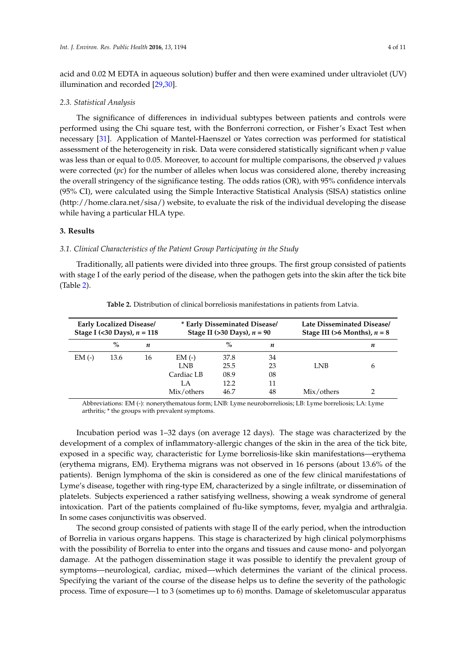acid and 0.02 M EDTA in aqueous solution) buffer and then were examined under ultraviolet (UV) illumination and recorded [\[29](#page-9-1)[,30\]](#page-9-0).

#### *2.3. Statistical Analysis*

The significance of differences in individual subtypes between patients and controls were performed using the Chi square test, with the Bonferroni correction, or Fisher's Exact Test when necessary [\[31\]](#page-9-2). Application of Mantel-Haenszel or Yates correction was performed for statistical assessment of the heterogeneity in risk. Data were considered statistically significant when *p* value was less than or equal to 0.05. Moreover, to account for multiple comparisons, the observed *p* values were corrected (*pc*) for the number of alleles when locus was considered alone, thereby increasing the overall stringency of the significance testing. The odds ratios (OR), with 95% confidence intervals (95% CI), were calculated using the Simple Interactive Statistical Analysis (SISA) statistics online [\(http://home.clara.net/sisa/\)](http://home.clara.net/sisa/) website, to evaluate the risk of the individual developing the disease while having a particular HLA type.

#### **3. Results**

#### *3.1. Clinical Characteristics of the Patient Group Participating in the Study*

Traditionally, all patients were divided into three groups. The first group consisted of patients with stage I of the early period of the disease, when the pathogen gets into the skin after the tick bite (Table [2\)](#page-3-0).

<span id="page-3-0"></span>

|         | <b>Early Localized Disease/</b><br>Stage I (<30 Days), $n = 118$ |    | * Early Disseminated Disease/<br>Stage II (>30 Days), $n = 90$ |      |    | Late Disseminated Disease/<br>Stage III (>6 Months), $n = 8$ |   |
|---------|------------------------------------------------------------------|----|----------------------------------------------------------------|------|----|--------------------------------------------------------------|---|
|         | $\%$                                                             | n  |                                                                | $\%$ | n  |                                                              | n |
| $EM(-)$ | 13.6                                                             | 16 | $EM$ (-)                                                       | 37.8 | 34 |                                                              |   |
|         |                                                                  |    | <b>LNB</b>                                                     | 25.5 | 23 | LNB                                                          | 6 |
|         |                                                                  |    | Cardiac LB                                                     | 08.9 | 08 |                                                              |   |
|         |                                                                  |    | LA                                                             | 12.2 | 11 |                                                              |   |
|         |                                                                  |    | Mix/others                                                     | 46.7 | 48 | Mix/others                                                   |   |

**Table 2.** Distribution of clinical borreliosis manifestations in patients from Latvia.

Abbreviations: EM (-): nonerythematous form; LNB: Lyme neuroborreliosis; LB: Lyme borreliosis; LA: Lyme arthritis; \* the groups with prevalent symptoms.

Incubation period was 1–32 days (on average 12 days). The stage was characterized by the development of a complex of inflammatory-allergic changes of the skin in the area of the tick bite, exposed in a specific way, characteristic for Lyme borreliosis-like skin manifestations—erythema (erythema migrans, EM). Erythema migrans was not observed in 16 persons (about 13.6% of the patients). Benign lymphoma of the skin is considered as one of the few clinical manifestations of Lyme's disease, together with ring-type EM, characterized by a single infiltrate, or dissemination of platelets. Subjects experienced a rather satisfying wellness, showing a weak syndrome of general intoxication. Part of the patients complained of flu-like symptoms, fever, myalgia and arthralgia. In some cases conjunctivitis was observed.

The second group consisted of patients with stage II of the early period, when the introduction of Borrelia in various organs happens. This stage is characterized by high clinical polymorphisms with the possibility of Borrelia to enter into the organs and tissues and cause mono- and polyorgan damage. At the pathogen dissemination stage it was possible to identify the prevalent group of symptoms—neurological, cardiac, mixed—which determines the variant of the clinical process. Specifying the variant of the course of the disease helps us to define the severity of the pathologic process. Time of exposure—1 to 3 (sometimes up to 6) months. Damage of skeletomuscular apparatus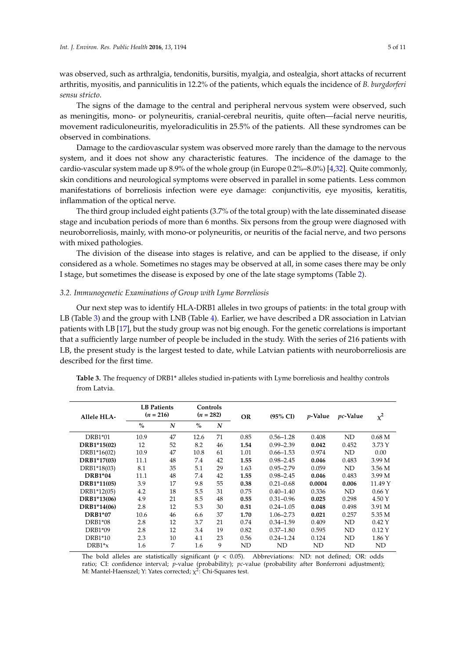was observed, such as arthralgia, tendonitis, bursitis, myalgia, and ostealgia, short attacks of recurrent arthritis, myositis, and panniculitis in 12.2% of the patients, which equals the incidence of *B. burgdorferi sensu stricto*.

The signs of the damage to the central and peripheral nervous system were observed, such as meningitis, mono- or polyneuritis, cranial-cerebral neuritis, quite often—facial nerve neuritis, movement radiculoneuritis, myeloradiculitis in 25.5% of the patients. All these syndromes can be observed in combinations.

Damage to the cardiovascular system was observed more rarely than the damage to the nervous system, and it does not show any characteristic features. The incidence of the damage to the cardio-vascular system made up 8.9% of the whole group (in Europe 0.2%–8.0%) [\[4](#page-7-3)[,32\]](#page-9-3). Quite commonly, skin conditions and neurological symptoms were observed in parallel in some patients. Less common manifestations of borreliosis infection were eye damage: conjunctivitis, eye myositis, keratitis, inflammation of the optical nerve.

The third group included eight patients (3.7% of the total group) with the late disseminated disease stage and incubation periods of more than 6 months. Six persons from the group were diagnosed with neuroborreliosis, mainly, with mono-or polyneuritis, or neuritis of the facial nerve, and two persons with mixed pathologies.

The division of the disease into stages is relative, and can be applied to the disease, if only considered as a whole. Sometimes no stages may be observed at all, in some cases there may be only I stage, but sometimes the disease is exposed by one of the late stage symptoms (Table [2\)](#page-3-0).

#### *3.2. Immunogenetic Examinations of Group with Lyme Borreliosis*

Our next step was to identify HLA-DRB1 alleles in two groups of patients: in the total group with LB (Table [3\)](#page-4-0) and the group with LNB (Table [4\)](#page-5-0). Earlier, we have described a DR association in Latvian patients with LB [\[17\]](#page-8-16), but the study group was not big enough. For the genetic correlations is important that a sufficiently large number of people be included in the study. With the series of 216 patients with LB, the present study is the largest tested to date, while Latvian patients with neuroborreliosis are described for the first time.

| <b>LB</b> Patients<br>$(n = 216)$ |    | Controls<br>$(n = 282)$ |    | <b>OR</b> | $(95\% \text{ CI})$ | <i>p</i> -Value | <i>pc</i> -Value | $\chi^2$          |
|-----------------------------------|----|-------------------------|----|-----------|---------------------|-----------------|------------------|-------------------|
| $\%$                              | N  | $\frac{0}{0}$           | N  |           |                     |                 |                  |                   |
| 10.9                              | 47 | 12.6                    | 71 | 0.85      | $0.56 - 1.28$       | 0.408           | ND               | 0.68 <sub>M</sub> |
| 12                                | 52 | 8.2                     | 46 | 1.54      | $0.99 - 2.39$       | 0.042           | 0.452            | 3.73 Y            |
| 10.9                              | 47 | 10.8                    | 61 | 1.01      | $0.66 - 1.53$       | 0.974           | ND               | 0.00              |
| 11.1                              | 48 | 7.4                     | 42 | 1.55      | $0.98 - 2.45$       | 0.046           | 0.483            | 3.99 M            |
| 8.1                               | 35 | 5.1                     | 29 | 1.63      | $0.95 - 2.79$       | 0.059           | ND               | 3.56 M            |
| 11.1                              | 48 | 7.4                     | 42 | 1.55      | $0.98 - 2.45$       | 0.046           | 0.483            | 3.99 M            |
| 3.9                               | 17 | 9.8                     | 55 | 0.38      | $0.21 - 0.68$       | 0.0004          | 0.006            | 11.49 Y           |
| 4.2                               | 18 | 5.5                     | 31 | 0.75      | $0.40 - 1.40$       | 0.336           | ND               | 0.66Y             |
| 4.9                               | 21 | 8.5                     | 48 | 0.55      | $0.31 - 0.96$       | 0.025           | 0.298            | 4.50 Y            |
| 2.8                               | 12 | 5.3                     | 30 | 0.51      | $0.24 - 1.05$       | 0.048           | 0.498            | 3.91 M            |
| 10.6                              | 46 | 6.6                     | 37 | 1.70      | $1.06 - 2.73$       | 0.021           | 0.257            | 5.35 M            |
| 2.8                               | 12 | 3.7                     | 21 | 0.74      | $0.34 - 1.59$       | 0.409           | ND               | $0.42$ Y          |
| 2.8                               | 12 | 3.4                     | 19 | 0.82      | $0.37 - 1.80$       | 0.595           | ND               | $0.12$ Y          |
| 2.3                               | 10 | 4.1                     | 23 | 0.56      | $0.24 - 1.24$       | 0.124           | ND               | 1.86 Y            |
| 1.6                               | 7  | 1.6                     | 9  | ND        | ND                  | ND              | ND               | ND                |
|                                   |    |                         |    |           |                     |                 |                  |                   |

<span id="page-4-0"></span>**Table 3.** The frequency of DRB1\* alleles studied in-patients with Lyme borreliosis and healthy controls from Latvia.

The bold alleles are statistically significant  $(p < 0.05)$ . Abbreviations: ND: not defined; OR: odds ratio; CI: confidence interval; *p*-value (probability); *pc*-value (probability after Bonferroni adjustment); M: Mantel-Haenszel; Y: Yates corrected; χ<sup>2</sup>: Chi-Squares test.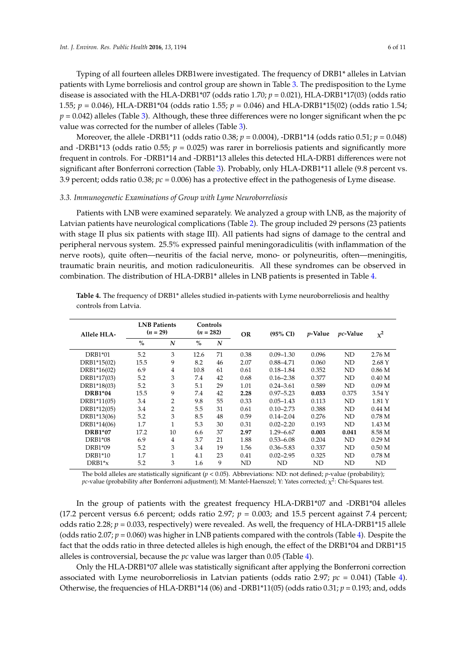Typing of all fourteen alleles DRB1were investigated. The frequency of DRB1\* alleles in Latvian patients with Lyme borreliosis and control group are shown in Table [3.](#page-4-0) The predisposition to the Lyme disease is associated with the HLA-DRB1\*07 (odds ratio 1.70; *p* = 0.021), HLA-DRB1\*17(03) (odds ratio 1.55; *p* = 0.046), HLA-DRB1\*04 (odds ratio 1.55; *p* = 0.046) and HLA-DRB1\*15(02) (odds ratio 1.54;  $p = 0.042$ ) alleles (Table [3\)](#page-4-0). Although, these three differences were no longer significant when the pc value was corrected for the number of alleles (Table [3\)](#page-4-0).

Moreover, the allele -DRB1\*11 (odds ratio 0.38; *p* = 0.0004), -DRB1\*14 (odds ratio 0.51; *p* = 0.048) and -DRB1\*13 (odds ratio 0.55;  $p = 0.025$ ) was rarer in borreliosis patients and significantly more frequent in controls. For -DRB1\*14 and -DRB1\*13 alleles this detected HLA-DRB1 differences were not significant after Bonferroni correction (Table [3\)](#page-4-0). Probably, only HLA-DRB1\*11 allele (9.8 percent vs. 3.9 percent; odds ratio 0.38; *pc* = 0.006) has a protective effect in the pathogenesis of Lyme disease.

#### *3.3. Immunogenetic Examinations of Group with Lyme Neuroborreliosis*

Patients with LNB were examined separately. We analyzed a group with LNB, as the majority of Latvian patients have neurological complications (Table [2\)](#page-3-0). The group included 29 persons (23 patients with stage II plus six patients with stage III). All patients had signs of damage to the central and peripheral nervous system. 25.5% expressed painful meningoradiculitis (with inflammation of the nerve roots), quite often—neuritis of the facial nerve, mono- or polyneuritis, often—meningitis, traumatic brain neuritis, and motion radiculoneuritis. All these syndromes can be observed in combination. The distribution of HLA-DRB1\* alleles in LNB patients is presented in Table [4.](#page-5-0)

| Allele HLA-    | <b>LNB Patients</b><br>$(n = 29)$ |                | Controls<br>$(n = 282)$ |    | <b>OR</b> | $(95\% \text{ CI})$ | <i>p</i> -Value | <i>pc</i> -Value | $\chi^2$          |
|----------------|-----------------------------------|----------------|-------------------------|----|-----------|---------------------|-----------------|------------------|-------------------|
|                | $\%$                              | N              | $\frac{0}{0}$           | N  |           |                     |                 |                  |                   |
| DRB1*01        | 5.2                               | 3              | 12.6                    | 71 | 0.38      | $0.09 - 1.30$       | 0.096           | ND               | 2.76 M            |
| DRB1*15(02)    | 15.5                              | 9              | 8.2                     | 46 | 2.07      | $0.88 - 4.71$       | 0.060           | ND               | 2.68Y             |
| DRB1*16(02)    | 6.9                               | 4              | 10.8                    | 61 | 0.61      | $0.18 - 1.84$       | 0.352           | ND               | 0.86 <sub>M</sub> |
| DRB1*17(03)    | 5.2                               | 3              | 7.4                     | 42 | 0.68      | $0.16 - 2.38$       | 0.377           | ND               | 0.40 <sub>M</sub> |
| DRB1*18(03)    | 5.2                               | 3              | 5.1                     | 29 | 1.01      | $0.24 - 3.61$       | 0.589           | ND               | 0.09 <sub>M</sub> |
| <b>DRB1*04</b> | 15.5                              | 9              | 7.4                     | 42 | 2.28      | $0.97 - 5.23$       | 0.033           | 0.375            | 3.54 Y            |
| DRB1*11(05)    | 3.4                               | 2              | 9.8                     | 55 | 0.33      | $0.05 - 1.43$       | 0.113           | ND               | 1.81 Y            |
| DRB1*12(05)    | 3.4                               | $\overline{2}$ | 5.5                     | 31 | 0.61      | $0.10 - 2.73$       | 0.388           | ND               | 0.44 <sub>M</sub> |
| DRB1*13(06)    | 5.2                               | 3              | 8.5                     | 48 | 0.59      | $0.14 - 2.04$       | 0.276           | ND               | 0.78 <sub>M</sub> |
| DRB1*14(06)    | 1.7                               | 1              | 5.3                     | 30 | 0.31      | $0.02 - 2.20$       | 0.193           | ND               | 1.43M             |
| <b>DRB1*07</b> | 17.2                              | 10             | 6.6                     | 37 | 2.97      | $1.29 - 6.67$       | 0.003           | 0.041            | 8.58 M            |
| DRB1*08        | 6.9                               | 4              | 3.7                     | 21 | 1.88      | $0.53 - 6.08$       | 0.204           | ND               | 0.29 <sub>M</sub> |
| DRB1*09        | 5.2                               | 3              | 3.4                     | 19 | 1.56      | $0.36 - 5.83$       | 0.337           | ND               | 0.50 <sub>M</sub> |
| DRB1*10        | 1.7                               | 1              | 4.1                     | 23 | 0.41      | $0.02 - 2.95$       | 0.325           | ND               | 0.78 <sub>M</sub> |
| $DRB1*_{X}$    | 5.2                               | 3              | 1.6                     | 9  | ND        | ND                  | ND              | ND               | ND                |

<span id="page-5-0"></span>**Table 4.** The frequency of DRB1\* alleles studied in-patients with Lyme neuroborreliosis and healthy controls from Latvia.

The bold alleles are statistically significant (*p* < 0.05). Abbreviations: ND: not defined; *p*-value (probability); *pc*-value (probability after Bonferroni adjustment); M: Mantel-Haenszel; Y: Yates corrected; χ 2 : Chi-Squares test.

In the group of patients with the greatest frequency HLA-DRB1\*07 and -DRB1\*04 alleles (17.2 percent versus 6.6 percent; odds ratio 2.97;  $p = 0.003$ ; and 15.5 percent against 7.4 percent; odds ratio 2.28;  $p = 0.033$ , respectively) were revealed. As well, the frequency of HLA-DRB1\*15 allele (odds ratio 2.07;  $p = 0.060$ ) was higher in LNB patients compared with the controls (Table [4\)](#page-5-0). Despite the fact that the odds ratio in three detected alleles is high enough, the effect of the DRB1\*04 and DRB1\*15 alleles is controversial, because the *pc* value was larger than 0.05 (Table [4\)](#page-5-0).

Only the HLA-DRB1\*07 allele was statistically significant after applying the Bonferroni correction associated with Lyme neuroborreliosis in Latvian patients (odds ratio 2.97;  $pc = 0.041$ ) (Table [4\)](#page-5-0). Otherwise, the frequencies of HLA-DRB1<sup>\*14</sup> (06) and -DRB1<sup>\*11</sup>(05) (odds ratio 0.31;  $p = 0.193$ ; and, odds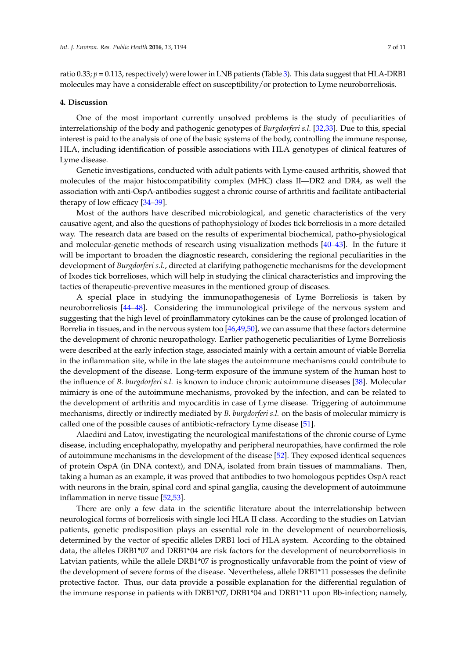ratio 0.33;  $p = 0.113$ , respectively) were lower in LNB patients (Table [3\)](#page-4-0). This data suggest that HLA-DRB1 molecules may have a considerable effect on susceptibility/or protection to Lyme neuroborreliosis.

#### **4. Discussion**

One of the most important currently unsolved problems is the study of peculiarities of interrelationship of the body and pathogenic genotypes of *Burgdorferi s.l.* [\[32](#page-9-3)[,33\]](#page-9-4). Due to this, special interest is paid to the analysis of one of the basic systems of the body, controlling the immune response, HLA, including identification of possible associations with HLA genotypes of clinical features of Lyme disease.

Genetic investigations, conducted with adult patients with Lyme-caused arthritis, showed that molecules of the major histocompatibility complex (MHC) class II—DR2 and DR4, as well the association with anti-OspA-antibodies suggest a chronic course of arthritis and facilitate antibacterial therapy of low efficacy [\[34–](#page-9-5)[39\]](#page-9-6).

Most of the authors have described microbiological, and genetic characteristics of the very causative agent, and also the questions of pathophysiology of Ixodes tick borreliosis in a more detailed way. The research data are based on the results of experimental biochemical, patho-physiological and molecular-genetic methods of research using visualization methods [\[40](#page-9-7)[–43\]](#page-9-8). In the future it will be important to broaden the diagnostic research, considering the regional peculiarities in the development of *Burgdorferi s.l.*, directed at clarifying pathogenetic mechanisms for the development of Ixodes tick borrelioses, which will help in studying the clinical characteristics and improving the tactics of therapeutic-preventive measures in the mentioned group of diseases.

A special place in studying the immunopathogenesis of Lyme Borreliosis is taken by neuroborreliosis [\[44–](#page-9-9)[48\]](#page-10-0). Considering the immunological privilege of the nervous system and suggesting that the high level of proinflammatory cytokines can be the cause of prolonged location of Borrelia in tissues, and in the nervous system too [\[46,](#page-9-10)[49,](#page-10-1)[50\]](#page-10-2), we can assume that these factors determine the development of chronic neuropathology. Earlier pathogenetic peculiarities of Lyme Borreliosis were described at the early infection stage, associated mainly with a certain amount of viable Borrelia in the inflammation site, while in the late stages the autoimmune mechanisms could contribute to the development of the disease. Long-term exposure of the immune system of the human host to the influence of *B. burgdorferi s.l.* is known to induce chronic autoimmune diseases [\[38\]](#page-9-11). Molecular mimicry is one of the autoimmune mechanisms, provoked by the infection, and can be related to the development of arthritis and myocarditis in case of Lyme disease. Triggering of autoimmune mechanisms, directly or indirectly mediated by *B. burgdorferi s.l.* on the basis of molecular mimicry is called one of the possible causes of antibiotic-refractory Lyme disease [\[51\]](#page-10-3).

Alaedini and Latov, investigating the neurological manifestations of the chronic course of Lyme disease, including encephalopathy, myelopathy and peripheral neuropathies, have confirmed the role of autoimmune mechanisms in the development of the disease [\[52\]](#page-10-4). They exposed identical sequences of protein OspA (in DNA context), and DNA, isolated from brain tissues of mammalians. Then, taking a human as an example, it was proved that antibodies to two homologous peptides OspA react with neurons in the brain, spinal cord and spinal ganglia, causing the development of autoimmune inflammation in nerve tissue [\[52](#page-10-4)[,53\]](#page-10-5).

There are only a few data in the scientific literature about the interrelationship between neurological forms of borreliosis with single loci HLA II class. According to the studies on Latvian patients, genetic predisposition plays an essential role in the development of neuroborreliosis, determined by the vector of specific alleles DRB1 loci of HLA system. According to the obtained data, the alleles DRB1\*07 and DRB1\*04 are risk factors for the development of neuroborreliosis in Latvian patients, while the allele DRB1\*07 is prognostically unfavorable from the point of view of the development of severe forms of the disease. Nevertheless, allele DRB1\*11 possesses the definite protective factor. Thus, our data provide a possible explanation for the differential regulation of the immune response in patients with DRB1\*07, DRB1\*04 and DRB1\*11 upon Bb-infection; namely,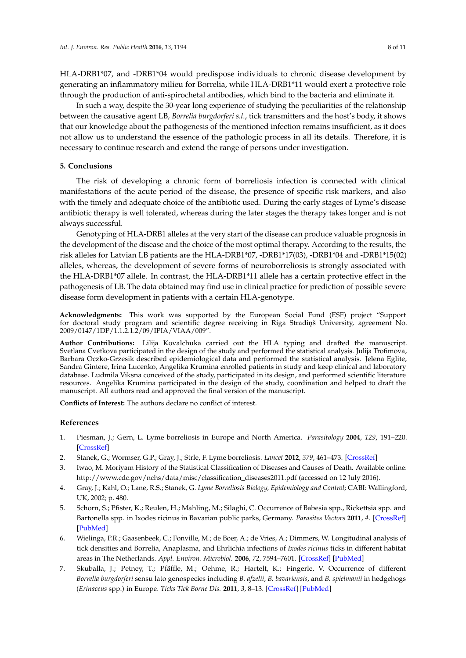HLA-DRB1\*07, and -DRB1\*04 would predispose individuals to chronic disease development by generating an inflammatory milieu for Borrelia, while HLA-DRB1\*11 would exert a protective role through the production of anti-spirochetal antibodies, which bind to the bacteria and eliminate it.

In such a way, despite the 30-year long experience of studying the peculiarities of the relationship between the causative agent LB, *Borrelia burgdorferi s.l.*, tick transmitters and the host's body, it shows that our knowledge about the pathogenesis of the mentioned infection remains insufficient, as it does not allow us to understand the essence of the pathologic process in all its details. Therefore, it is necessary to continue research and extend the range of persons under investigation.

# **5. Conclusions**

The risk of developing a chronic form of borreliosis infection is connected with clinical manifestations of the acute period of the disease, the presence of specific risk markers, and also with the timely and adequate choice of the antibiotic used. During the early stages of Lyme's disease antibiotic therapy is well tolerated, whereas during the later stages the therapy takes longer and is not always successful.

Genotyping of HLA-DRB1 alleles at the very start of the disease can produce valuable prognosis in the development of the disease and the choice of the most optimal therapy. According to the results, the risk alleles for Latvian LB patients are the HLA-DRB1\*07, -DRB1\*17(03), -DRB1\*04 and -DRB1\*15(02) alleles, whereas, the development of severe forms of neuroborreliosis is strongly associated with the HLA-DRB1\*07 allele. In contrast, the HLA-DRB1\*11 allele has a certain protective effect in the pathogenesis of LB. The data obtained may find use in clinical practice for prediction of possible severe disease form development in patients with a certain HLA-genotype.

**Acknowledgments:** This work was supported by the European Social Fund (ESF) project "Support for doctoral study program and scientific degree receiving in Riga Stradins University, agreement No. 2009/0147/1DP/1.1.2.1.2/09/IPIA/VIAA/009".

**Author Contributions:** Lilija Kovalchuka carried out the HLA typing and drafted the manuscript. Svetlana Cvetkova participated in the design of the study and performed the statistical analysis. Julija Trofimova, Barbara Oczko-Grzesik described epidemiological data and performed the statistical analysis. Jelena Eglite, Sandra Gintere, Irina Lucenko, Angelika Krumina enrolled patients in study and keep clinical and laboratory database. Ludmila Viksna conceived of the study, participated in its design, and performed scientific literature resources. Angelika Krumina participated in the design of the study, coordination and helped to draft the manuscript. All authors read and approved the final version of the manuscript.

**Conflicts of Interest:** The authors declare no conflict of interest.

## **References**

- <span id="page-7-0"></span>1. Piesman, J.; Gern, L. Lyme borreliosis in Europe and North America. *Parasitology* **2004**, *129*, 191–220. [\[CrossRef\]](http://dx.doi.org/10.1017/S0031182003004694)
- <span id="page-7-1"></span>2. Stanek, G.; Wormser, G.P.; Gray, J.; Strle, F. Lyme borreliosis. *Lancet* **2012**, *379*, 461–473. [\[CrossRef\]](http://dx.doi.org/10.1016/S0140-6736(11)60103-7)
- <span id="page-7-2"></span>3. Iwao, M. Moriyam History of the Statistical Classification of Diseases and Causes of Death. Available online: [http://www.cdc.gov/nchs/data/misc/classification\\_diseases2011.pdf](http://www.cdc.gov/nchs/data/misc/classification_diseases2011.pdf) (accessed on 12 July 2016).
- <span id="page-7-3"></span>4. Gray, J.; Kahl, O.; Lane, R.S.; Stanek, G. *Lyme Borreliosis Biology, Epidemiology and Control*; CABI: Wallingford, UK, 2002; p. 480.
- 5. Schorn, S.; Pfister, K.; Reulen, H.; Mahling, M.; Silaghi, C. Occurrence of Babesia spp., Rickettsia spp. and Bartonella spp. in Ixodes ricinus in Bavarian public parks, Germany. *Parasites Vectors* **2011**, *4*. [\[CrossRef\]](http://dx.doi.org/10.1186/1756-3305-4-135) [\[PubMed\]](http://www.ncbi.nlm.nih.gov/pubmed/21762494)
- <span id="page-7-4"></span>6. Wielinga, P.R.; Gaasenbeek, C.; Fonville, M.; de Boer, A.; de Vries, A.; Dimmers, W. Longitudinal analysis of tick densities and Borrelia, Anaplasma, and Ehrlichia infections of *Ixodes ricinus* ticks in different habitat areas in The Netherlands. *Appl. Environ. Microbiol.* **2006**, *72*, 7594–7601. [\[CrossRef\]](http://dx.doi.org/10.1128/AEM.01851-06) [\[PubMed\]](http://www.ncbi.nlm.nih.gov/pubmed/17028227)
- <span id="page-7-5"></span>7. Skuballa, J.; Petney, T.; Pfäffle, M.; Oehme, R.; Hartelt, K.; Fingerle, V. Occurrence of different *Borrelia burgdorferi* sensu lato genospecies including *B. afzelii*, *B. bavariensis*, and *B. spielmanii* in hedgehogs (*Erinaceus* spp.) in Europe. *Ticks Tick Borne Dis.* **2011**, *3*, 8–13. [\[CrossRef\]](http://dx.doi.org/10.1016/j.ttbdis.2011.09.008) [\[PubMed\]](http://www.ncbi.nlm.nih.gov/pubmed/22309853)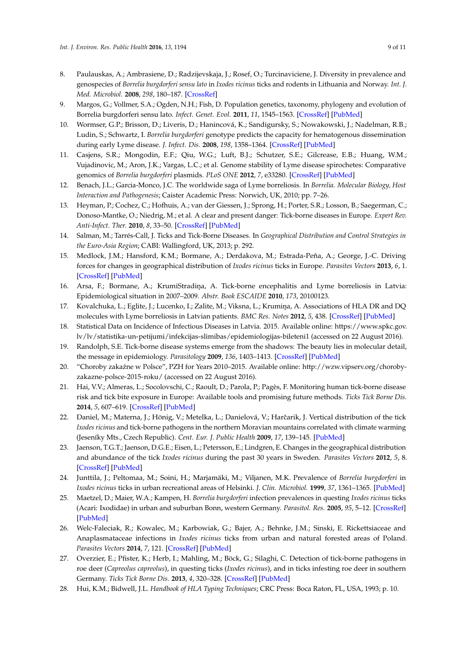- 8. Paulauskas, A.; Ambrasiene, D.; Radzijevskaja, J.; Rosef, O.; Turcinaviciene, J. Diversity in prevalence and genospecies of *Borrelia burgdorferi sensu lato* in *Ixodes ricinus* ticks and rodents in Lithuania and Norway. *Int. J. Med. Microbiol.* **2008**, *298*, 180–187. [\[CrossRef\]](http://dx.doi.org/10.1016/j.ijmm.2008.04.003)
- <span id="page-8-0"></span>9. Margos, G.; Vollmer, S.A.; Ogden, N.H.; Fish, D. Population genetics, taxonomy, phylogeny and evolution of Borrelia burgdorferi sensu lato. *Infect. Genet. Evol.* **2011**, *11*, 1545–1563. [\[CrossRef\]](http://dx.doi.org/10.1016/j.meegid.2011.07.022) [\[PubMed\]](http://www.ncbi.nlm.nih.gov/pubmed/21843658)
- <span id="page-8-1"></span>10. Wormser, G.P.; Brisson, D.; Liveris, D.; Hanincová, K.; Sandigursky, S.; Nowakowski, J.; Nadelman, R.B.; Ludin, S.; Schwartz, I. *Borrelia burgdorferi* genotype predicts the capacity for hematogenous dissemination during early Lyme disease. *J. Infect. Dis.* **2008**, *198*, 1358–1364. [\[CrossRef\]](http://dx.doi.org/10.1086/592279) [\[PubMed\]](http://www.ncbi.nlm.nih.gov/pubmed/18781866)
- <span id="page-8-2"></span>11. Casjens, S.R.; Mongodin, E.F.; Qiu, W.G.; Luft, B.J.; Schutzer, S.E.; Gilcrease, E.B.; Huang, W.M.; Vujadinovic, M.; Aron, J.K.; Vargas, L.C.; et al. Genome stability of Lyme disease spirochetes: Comparative genomics of *Borrelia burgdorferi* plasmids. *PLoS ONE* **2012**, *7*, e33280. [\[CrossRef\]](http://dx.doi.org/10.1371/journal.pone.0033280) [\[PubMed\]](http://www.ncbi.nlm.nih.gov/pubmed/22432010)
- <span id="page-8-3"></span>12. Benach, J.L.; Garcia-Monco, J.C. The worldwide saga of Lyme borreliosis. In *Borrelia. Molecular Biology, Host Interaction and Pathogenesis*; Caister Academic Press: Norwich, UK, 2010; pp. 7–26.
- <span id="page-8-4"></span>13. Heyman, P.; Cochez, C.; Hofhuis, A.; van der Giessen, J.; Sprong, H.; Porter, S.R.; Losson, B.; Saegerman, C.; Donoso-Mantke, O.; Niedrig, M.; et al. A clear and present danger: Tick-borne diseases in Europe. *Expert Rev. Anti-Infect. Ther.* **2010**, *8*, 33–50. [\[CrossRef\]](http://dx.doi.org/10.1586/eri.09.118) [\[PubMed\]](http://www.ncbi.nlm.nih.gov/pubmed/20014900)
- 14. Salman, M.; Tarrés-Call, J. Ticks and Tick-Borne Diseases. In *Geographical Distribution and Control Strategies in the Euro-Asia Region*; CABI: Wallingford, UK, 2013; p. 292.
- <span id="page-8-5"></span>15. Medlock, J.M.; Hansford, K.M.; Bormane, A.; Derdakova, M.; Estrada-Peña, A.; George, J.-C. Driving forces for changes in geographical distribution of *Ixodes ricinus* ticks in Europe. *Parasites Vectors* **2013**, *6*, 1. [\[CrossRef\]](http://dx.doi.org/10.1186/1756-3305-6-1) [\[PubMed\]](http://www.ncbi.nlm.nih.gov/pubmed/23281838)
- <span id="page-8-6"></span>16. Arsa, F.; Bormane, A.; KrumiStradina, A. Tick-borne encephalitis and Lyme borreliosis in Latvia: Epidemiological situation in 2007–2009. *Abstr. Book ESCAIDE* **2010**, *173*, 20100123.
- <span id="page-8-16"></span>17. Kovalchuka, L.; Eglite, J.; Lucenko, I.; Zalite, M.; Viksna, L.; Krumiņa, A. Associations of HLA DR and DQ molecules with Lyme borreliosis in Latvian patients. *BMC Res. Notes* **2012**, *5*, 438. [\[CrossRef\]](http://dx.doi.org/10.1186/1756-0500-5-438) [\[PubMed\]](http://www.ncbi.nlm.nih.gov/pubmed/22892251)
- <span id="page-8-7"></span>18. Statistical Data on Incidence of Infectious Diseases in Latvia. 2015. Available online: [https://www.spkc.gov.](https://www.spkc.gov.lv/lv/statistika-un-petijumi/infekcijas-slimibas/epidemiologijas-bileteni1) [lv/lv/statistika-un-petijumi/infekcijas-slimibas/epidemiologijas-bileteni1](https://www.spkc.gov.lv/lv/statistika-un-petijumi/infekcijas-slimibas/epidemiologijas-bileteni1) (accessed on 22 August 2016).
- <span id="page-8-8"></span>19. Randolph, S.E. Tick-borne disease systems emerge from the shadows: The beauty lies in molecular detail, the message in epidemiology. *Parasitology* **2009**, *136*, 1403–1413. [\[CrossRef\]](http://dx.doi.org/10.1017/S0031182009005782) [\[PubMed\]](http://www.ncbi.nlm.nih.gov/pubmed/19366480)
- <span id="page-8-10"></span>20. "Choroby zakaźne w Polsce", PZH for Years 2010–2015. Available online: [http://wzw.vipserv.org/choroby](http://wzw.vipserv.org/choroby-zakazne-polsce-2015-roku/)[zakazne-polsce-2015-roku/](http://wzw.vipserv.org/choroby-zakazne-polsce-2015-roku/) (accessed on 22 August 2016).
- <span id="page-8-11"></span>21. Hai, V.V.; Almeras, L.; Socolovschi, C.; Raoult, D.; Parola, P.; Pagès, F. Monitoring human tick-borne disease risk and tick bite exposure in Europe: Available tools and promising future methods. *Ticks Tick Borne Dis.* **2014**, *5*, 607–619. [\[CrossRef\]](http://dx.doi.org/10.1016/j.ttbdis.2014.07.022) [\[PubMed\]](http://www.ncbi.nlm.nih.gov/pubmed/25178542)
- 22. Daniel, M.; Materna, J.; Hönig, V.; Metelka, L.; Danielová, V.; Harčarik, J. Vertical distribution of the tick *Ixodes ricinus* and tick-borne pathogens in the northern Moravian mountains correlated with climate warming (Jeseníky Mts., Czech Republic). *Cent. Eur. J. Public Health* **2009**, *17*, 139–145. [\[PubMed\]](http://www.ncbi.nlm.nih.gov/pubmed/20020603)
- 23. Jaenson, T.G.T.; Jaenson, D.G.E.; Eisen, L.; Petersson, E.; Lindgren, E. Changes in the geographical distribution and abundance of the tick *Ixodes ricinus* during the past 30 years in Sweden. *Parasites Vectors* **2012**, *5*, 8. [\[CrossRef\]](http://dx.doi.org/10.1186/1756-3305-5-8) [\[PubMed\]](http://www.ncbi.nlm.nih.gov/pubmed/22233771)
- <span id="page-8-9"></span>24. Junttila, J.; Peltomaa, M.; Soini, H.; Marjamäki, M.; Viljanen, M.K. Prevalence of *Borrelia burgdorferi* in *Ixodes ricinus* ticks in urban recreational areas of Helsinki. *J. Clin. Microbiol.* **1999**, *37*, 1361–1365. [\[PubMed\]](http://www.ncbi.nlm.nih.gov/pubmed/10203487)
- <span id="page-8-12"></span>25. Maetzel, D.; Maier, W.A.; Kampen, H. *Borrelia burgdorferi* infection prevalences in questing *Ixodes ricinus* ticks (Acari: Ixodidae) in urban and suburban Bonn, western Germany. *Parasitol. Res.* **2005**, *95*, 5–12. [\[CrossRef\]](http://dx.doi.org/10.1007/s00436-004-1240-3) [\[PubMed\]](http://www.ncbi.nlm.nih.gov/pubmed/15549390)
- <span id="page-8-13"></span>26. Welc-Faleciak, R.; Kowalec, M.; Karbowiak, G.; Bajer, A.; Behnke, J.M.; Sinski, E. Rickettsiaceae and Anaplasmataceae infections in *Ixodes ricinus* ticks from urban and natural forested areas of Poland. *Parasites Vectors* **2014**, *7*, 121. [\[CrossRef\]](http://dx.doi.org/10.1186/1756-3305-7-121) [\[PubMed\]](http://www.ncbi.nlm.nih.gov/pubmed/24661311)
- <span id="page-8-14"></span>27. Overzier, E.; Pfister, K.; Herb, I.; Mahling, M.; Böck, G.; Silaghi, C. Detection of tick-borne pathogens in roe deer (*Capreolus capreolus*), in questing ticks (*Ixodes ricinus*), and in ticks infesting roe deer in southern Germany. *Ticks Tick Borne Dis.* **2013**, *4*, 320–328. [\[CrossRef\]](http://dx.doi.org/10.1016/j.ttbdis.2013.01.004) [\[PubMed\]](http://www.ncbi.nlm.nih.gov/pubmed/23571115)
- <span id="page-8-15"></span>28. Hui, K.M.; Bidwell, J.L. *Handbook of HLA Typing Techniques*; CRC Press: Boca Raton, FL, USA, 1993; p. 10.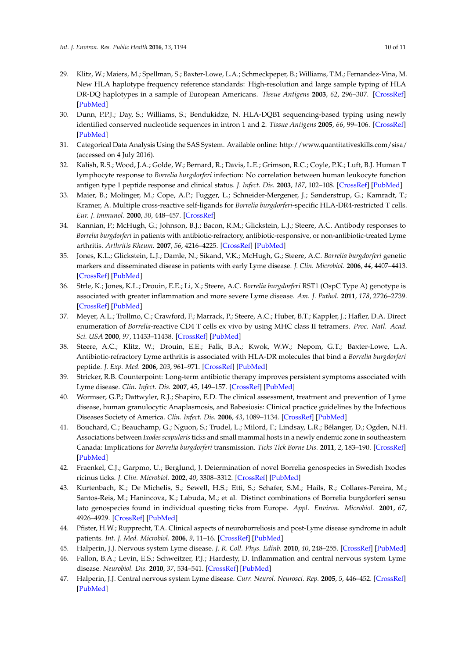- <span id="page-9-1"></span>29. Klitz, W.; Maiers, M.; Spellman, S.; Baxter-Lowe, L.A.; Schmeckpeper, B.; Williams, T.M.; Fernandez-Vina, M. New HLA haplotype frequency reference standards: High-resolution and large sample typing of HLA DR-DQ haplotypes in a sample of European Americans. *Tissue Antigens* **2003**, *62*, 296–307. [\[CrossRef\]](http://dx.doi.org/10.1034/j.1399-0039.2003.00103.x) [\[PubMed\]](http://www.ncbi.nlm.nih.gov/pubmed/12974796)
- <span id="page-9-0"></span>30. Dunn, P.P.J.; Day, S.; Williams, S.; Bendukidze, N. HLA-DQB1 sequencing-based typing using newly identified conserved nucleotide sequences in intron 1 and 2. *Tissue Antigens* **2005**, *66*, 99–106. [\[CrossRef\]](http://dx.doi.org/10.1111/j.1399-0039.2005.00445.x) [\[PubMed\]](http://www.ncbi.nlm.nih.gov/pubmed/16029429)
- <span id="page-9-2"></span>31. Categorical Data Analysis Using the SAS System. Available online: <http://www.quantitativeskills.com/sisa/> (accessed on 4 July 2016).
- <span id="page-9-3"></span>32. Kalish, R.S.; Wood, J.A.; Golde, W.; Bernard, R.; Davis, L.E.; Grimson, R.C.; Coyle, P.K.; Luft, B.J. Human T lymphocyte response to *Borrelia burgdorferi* infection: No correlation between human leukocyte function antigen type 1 peptide response and clinical status. *J. Infect. Dis.* **2003**, *187*, 102–108. [\[CrossRef\]](http://dx.doi.org/10.1086/346059) [\[PubMed\]](http://www.ncbi.nlm.nih.gov/pubmed/12508152)
- <span id="page-9-4"></span>33. Maier, B.; Molinger, M.; Cope, A.P.; Fugger, L.; Schneider-Mergener, J.; Sønderstrup, G.; Kamradt, T.; Kramer, A. Multiple cross-reactive self-ligands for *Borrelia burgdorferi*-specific HLA-DR4-restricted T cells. *Eur. J. Immunol.* **2000**, *30*, 448–457. [\[CrossRef\]](http://dx.doi.org/10.1002/1521-4141(200002)30:2<448::AID-IMMU448>3.0.CO;2-9)
- <span id="page-9-5"></span>34. Kannian, P.; McHugh, G.; Johnson, B.J.; Bacon, R.M.; Glickstein, L.J.; Steere, A.C. Antibody responses to *Borrelia burgdorferi* in patients with antibiotic-refractory, antibiotic-responsive, or non-antibiotic-treated Lyme arthritis. *Arthritis Rheum.* **2007**, *56*, 4216–4225. [\[CrossRef\]](http://dx.doi.org/10.1002/art.23135) [\[PubMed\]](http://www.ncbi.nlm.nih.gov/pubmed/18050219)
- 35. Jones, K.L.; Glickstein, L.J.; Damle, N.; Sikand, V.K.; McHugh, G.; Steere, A.C. *Borrelia burgdorferi* genetic markers and disseminated disease in patients with early Lyme disease. *J. Clin. Microbiol.* **2006**, *44*, 4407–4413. [\[CrossRef\]](http://dx.doi.org/10.1128/JCM.01077-06) [\[PubMed\]](http://www.ncbi.nlm.nih.gov/pubmed/17035489)
- 36. Strle, K.; Jones, K.L.; Drouin, E.E.; Li, X.; Steere, A.C. *Borrelia burgdorferi* RST1 (OspC Type A) genotype is associated with greater inflammation and more severe Lyme disease. *Am. J. Pathol.* **2011**, *178*, 2726–2739. [\[CrossRef\]](http://dx.doi.org/10.1016/j.ajpath.2011.02.018) [\[PubMed\]](http://www.ncbi.nlm.nih.gov/pubmed/21641395)
- 37. Meyer, A.L.; Trollmo, C.; Crawford, F.; Marrack, P.; Steere, A.C.; Huber, B.T.; Kappler, J.; Hafler, D.A. Direct enumeration of *Borrelia*-reactive CD4 T cells ex vivo by using MHC class II tetramers. *Proc. Natl. Acad. Sci. USA* **2000**, *97*, 11433–11438. [\[CrossRef\]](http://dx.doi.org/10.1073/pnas.190335897) [\[PubMed\]](http://www.ncbi.nlm.nih.gov/pubmed/11005833)
- <span id="page-9-11"></span>38. Steere, A.C.; Klitz, W.; Drouin, E.E.; Falk, B.A.; Kwok, W.W.; Nepom, G.T.; Baxter-Lowe, L.A. Antibiotic-refractory Lyme arthritis is associated with HLA-DR molecules that bind a *Borrelia burgdorferi* peptide. *J. Exp. Med.* **2006**, *203*, 961–971. [\[CrossRef\]](http://dx.doi.org/10.1084/jem.20052471) [\[PubMed\]](http://www.ncbi.nlm.nih.gov/pubmed/16585267)
- <span id="page-9-6"></span>39. Stricker, R.B. Counterpoint: Long-term antibiotic therapy improves persistent symptoms associated with Lyme disease. *Clin. Infect. Dis.* **2007**, *45*, 149–157. [\[CrossRef\]](http://dx.doi.org/10.1086/518853) [\[PubMed\]](http://www.ncbi.nlm.nih.gov/pubmed/17578772)
- <span id="page-9-7"></span>40. Wormser, G.P.; Dattwyler, R.J.; Shapiro, E.D. The clinical assessment, treatment and prevention of Lyme disease, human granulocytic Anaplasmosis, and Babesiosis: Clinical practice guidelines by the Infectious Diseases Society of America. *Clin. Infect. Dis.* **2006**, *43*, 1089–1134. [\[CrossRef\]](http://dx.doi.org/10.1086/508667) [\[PubMed\]](http://www.ncbi.nlm.nih.gov/pubmed/17029130)
- 41. Bouchard, C.; Beauchamp, G.; Nguon, S.; Trudel, L.; Milord, F.; Lindsay, L.R.; Bélanger, D.; Ogden, N.H. Associations between *Ixodes scapularis* ticks and small mammal hosts in a newly endemic zone in southeastern Canada: Implications for *Borrelia burgdorferi* transmission. *Ticks Tick Borne Dis.* **2011**, *2*, 183–190. [\[CrossRef\]](http://dx.doi.org/10.1016/j.ttbdis.2011.03.005) [\[PubMed\]](http://www.ncbi.nlm.nih.gov/pubmed/22108010)
- 42. Fraenkel, C.J.; Garpmo, U.; Berglund, J. Determination of novel Borrelia genospecies in Swedish Ixodes ricinus ticks. *J. Clin. Microbiol.* **2002**, *40*, 3308–3312. [\[CrossRef\]](http://dx.doi.org/10.1128/JCM.40.9.3308-3312.2002) [\[PubMed\]](http://www.ncbi.nlm.nih.gov/pubmed/12202571)
- <span id="page-9-8"></span>43. Kurtenbach, K.; De Michelis, S.; Sewell, H.S.; Etti, S.; Schafer, S.M.; Hails, R.; Collares-Pereira, M.; Santos-Reis, M.; Hanincova, K.; Labuda, M.; et al. Distinct combinations of Borrelia burgdorferi sensu lato genospecies found in individual questing ticks from Europe. *Appl. Environ. Microbiol.* **2001**, *67*, 4926–4929. [\[CrossRef\]](http://dx.doi.org/10.1128/AEM.67.10.4926-4929.2001) [\[PubMed\]](http://www.ncbi.nlm.nih.gov/pubmed/11571205)
- <span id="page-9-9"></span>44. Pfister, H.W.; Rupprecht, T.A. Clinical aspects of neuroborreliosis and post-Lyme disease syndrome in adult patients. *Int. J. Med. Microbiol.* **2006**, *9*, 11–16. [\[CrossRef\]](http://dx.doi.org/10.1016/j.ijmm.2005.12.003) [\[PubMed\]](http://www.ncbi.nlm.nih.gov/pubmed/16524775)
- 45. Halperin, J.J. Nervous system Lyme disease. *J. R. Coll. Phys. Edinb.* **2010**, *40*, 248–255. [\[CrossRef\]](http://dx.doi.org/10.4997/JRCPE.2010.314) [\[PubMed\]](http://www.ncbi.nlm.nih.gov/pubmed/21127770)
- <span id="page-9-10"></span>46. Fallon, B.A.; Levin, E.S.; Schweitzer, P.J.; Hardesty, D. Inflammation and central nervous system Lyme disease. *Neurobiol. Dis.* **2010**, *37*, 534–541. [\[CrossRef\]](http://dx.doi.org/10.1016/j.nbd.2009.11.016) [\[PubMed\]](http://www.ncbi.nlm.nih.gov/pubmed/19944760)
- 47. Halperin, J.J. Central nervous system Lyme disease. *Curr. Neurol. Neurosci. Rep.* **2005**, *5*, 446–452. [\[CrossRef\]](http://dx.doi.org/10.1007/s11910-005-0032-1) [\[PubMed\]](http://www.ncbi.nlm.nih.gov/pubmed/16263055)